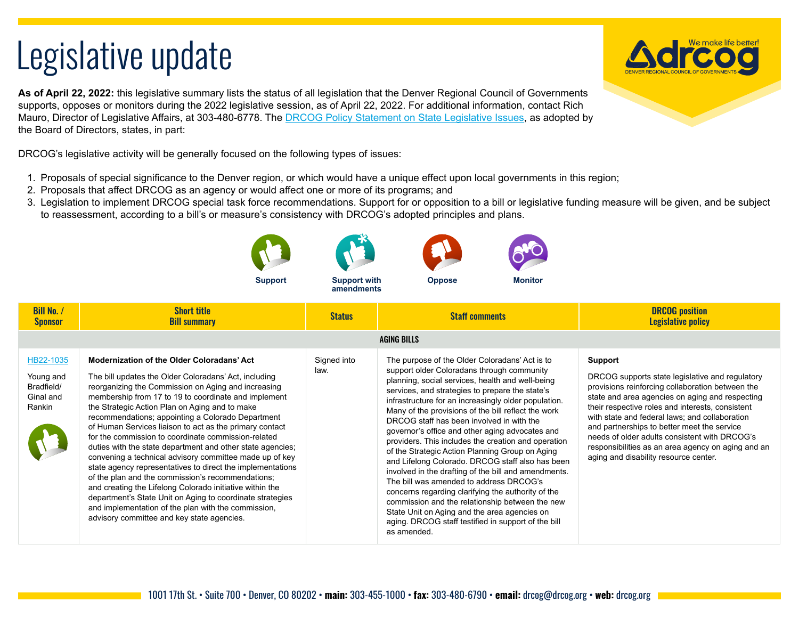## Legislative update

**As of April 22, 2022:** this legislative summary lists the status of all legislation that the Denver Regional Council of Governments supports, opposes or monitors during the 2022 legislative session, as of April 22, 2022. For additional information, contact Rich Mauro, Director of Legislative Affairs, at 303-480-6778. The [DRCOG Policy Statement on State Legislative Issues,](https://drcog.org/sites/default/files/resources/EO-RP-22STATEPOLICY-22-01-21.pdf) as adopted by the Board of Directors, states, in part:

DRCOG's legislative activity will be generally focused on the following types of issues:

- 1. Proposals of special significance to the Denver region, or which would have a unique effect upon local governments in this region;
- 2. Proposals that affect DRCOG as an agency or would affect one or more of its programs; and
- 3. Legislation to implement DRCOG special task force recommendations. Support for or opposition to a bill or legislative funding measure will be given, and be subject to reassessment, according to a bill's or measure's consistency with DRCOG's adopted principles and plans.

\*

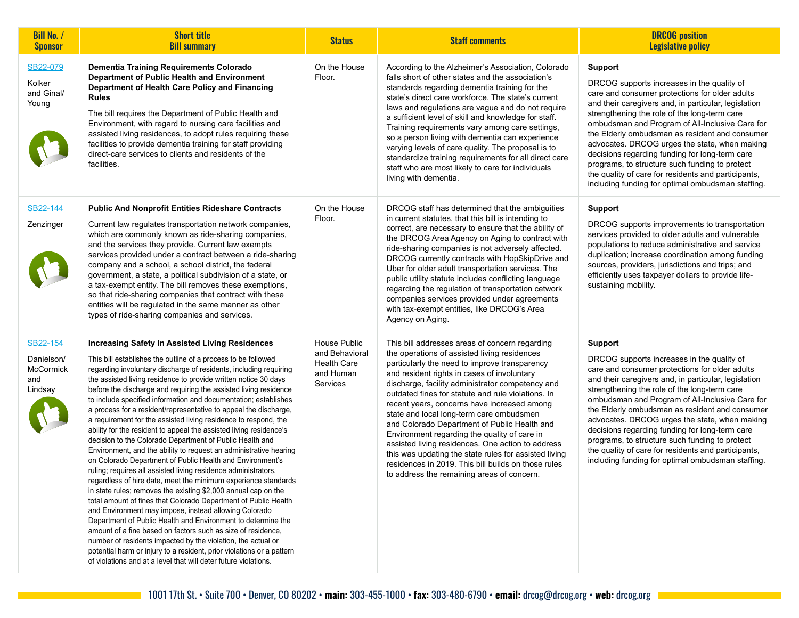| <b>Bill No. /</b><br><b>Sponsor</b>                          | <b>Short title</b><br><b>Bill summary</b>                                                                                                                                                                                                                                                                                                                                                                                                                                                                                                                                                                                                                                                                                                                                                                                                                                                                                                                                                                                                                                                                                                                                                                                                                                                                                                                                                                                                                                                       | <b>Status</b>                                                                 | <b>Staff comments</b>                                                                                                                                                                                                                                                                                                                                                                                                                                                                                                                                                                                                                                                                                                  | <b>DRCOG</b> position<br><b>Legislative policy</b>                                                                                                                                                                                                                                                                                                                                                                                                                                                                                                                                           |
|--------------------------------------------------------------|-------------------------------------------------------------------------------------------------------------------------------------------------------------------------------------------------------------------------------------------------------------------------------------------------------------------------------------------------------------------------------------------------------------------------------------------------------------------------------------------------------------------------------------------------------------------------------------------------------------------------------------------------------------------------------------------------------------------------------------------------------------------------------------------------------------------------------------------------------------------------------------------------------------------------------------------------------------------------------------------------------------------------------------------------------------------------------------------------------------------------------------------------------------------------------------------------------------------------------------------------------------------------------------------------------------------------------------------------------------------------------------------------------------------------------------------------------------------------------------------------|-------------------------------------------------------------------------------|------------------------------------------------------------------------------------------------------------------------------------------------------------------------------------------------------------------------------------------------------------------------------------------------------------------------------------------------------------------------------------------------------------------------------------------------------------------------------------------------------------------------------------------------------------------------------------------------------------------------------------------------------------------------------------------------------------------------|----------------------------------------------------------------------------------------------------------------------------------------------------------------------------------------------------------------------------------------------------------------------------------------------------------------------------------------------------------------------------------------------------------------------------------------------------------------------------------------------------------------------------------------------------------------------------------------------|
| SB22-079<br>Kolker<br>and Ginal/<br>Young                    | Dementia Training Requirements Colorado<br>Department of Public Health and Environment<br>Department of Health Care Policy and Financing<br><b>Rules</b><br>The bill requires the Department of Public Health and<br>Environment, with regard to nursing care facilities and<br>assisted living residences, to adopt rules requiring these<br>facilities to provide dementia training for staff providing<br>direct-care services to clients and residents of the<br>facilities.                                                                                                                                                                                                                                                                                                                                                                                                                                                                                                                                                                                                                                                                                                                                                                                                                                                                                                                                                                                                                | On the House<br>Floor.                                                        | According to the Alzheimer's Association, Colorado<br>falls short of other states and the association's<br>standards regarding dementia training for the<br>state's direct care workforce. The state's current<br>laws and regulations are vague and do not require<br>a sufficient level of skill and knowledge for staff.<br>Training requirements vary among care settings,<br>so a person living with dementia can experience<br>varying levels of care quality. The proposal is to<br>standardize training requirements for all direct care<br>staff who are most likely to care for individuals<br>living with dementia.                                                                                         | <b>Support</b><br>DRCOG supports increases in the quality of<br>care and consumer protections for older adults<br>and their caregivers and, in particular, legislation<br>strengthening the role of the long-term care<br>ombudsman and Program of All-Inclusive Care for<br>the Elderly ombudsman as resident and consumer<br>advocates. DRCOG urges the state, when making<br>decisions regarding funding for long-term care<br>programs, to structure such funding to protect<br>the quality of care for residents and participants,<br>including funding for optimal ombudsman staffing. |
| SB22-144<br>Zenzinger                                        | <b>Public And Nonprofit Entities Rideshare Contracts</b><br>Current law regulates transportation network companies,<br>which are commonly known as ride-sharing companies,<br>and the services they provide. Current law exempts<br>services provided under a contract between a ride-sharing<br>company and a school, a school district, the federal<br>government, a state, a political subdivision of a state, or<br>a tax-exempt entity. The bill removes these exemptions,<br>so that ride-sharing companies that contract with these<br>entities will be regulated in the same manner as other<br>types of ride-sharing companies and services.                                                                                                                                                                                                                                                                                                                                                                                                                                                                                                                                                                                                                                                                                                                                                                                                                                           | On the House<br>Floor.                                                        | DRCOG staff has determined that the ambiguities<br>in current statutes, that this bill is intending to<br>correct, are necessary to ensure that the ability of<br>the DRCOG Area Agency on Aging to contract with<br>ride-sharing companies is not adversely affected.<br>DRCOG currently contracts with HopSkipDrive and<br>Uber for older adult transportation services. The<br>public utility statute includes conflicting language<br>regarding the regulation of transportation cetwork<br>companies services provided under agreements<br>with tax-exempt entities, like DRCOG's Area<br>Agency on Aging.                                                                                                        | <b>Support</b><br>DRCOG supports improvements to transportation<br>services provided to older adults and vulnerable<br>populations to reduce administrative and service<br>duplication; increase coordination among funding<br>sources, providers, jurisdictions and trips; and<br>efficiently uses taxpayer dollars to provide life-<br>sustaining mobility.                                                                                                                                                                                                                                |
| SB22-154<br>Danielson/<br><b>McCormick</b><br>and<br>Lindsay | <b>Increasing Safety In Assisted Living Residences</b><br>This bill establishes the outline of a process to be followed<br>regarding involuntary discharge of residents, including requiring<br>the assisted living residence to provide written notice 30 days<br>before the discharge and requiring the assisted living residence<br>to include specified information and documentation; establishes<br>a process for a resident/representative to appeal the discharge,<br>a requirement for the assisted living residence to respond, the<br>ability for the resident to appeal the assisted living residence's<br>decision to the Colorado Department of Public Health and<br>Environment, and the ability to request an administrative hearing<br>on Colorado Department of Public Health and Environment's<br>ruling; requires all assisted living residence administrators,<br>regardless of hire date, meet the minimum experience standards<br>in state rules; removes the existing \$2,000 annual cap on the<br>total amount of fines that Colorado Department of Public Health<br>and Environment may impose, instead allowing Colorado<br>Department of Public Health and Environment to determine the<br>amount of a fine based on factors such as size of residence.<br>number of residents impacted by the violation, the actual or<br>potential harm or injury to a resident, prior violations or a pattern<br>of violations and at a level that will deter future violations. | House Public<br>and Behavioral<br><b>Health Care</b><br>and Human<br>Services | This bill addresses areas of concern regarding<br>the operations of assisted living residences<br>particularly the need to improve transparency<br>and resident rights in cases of involuntary<br>discharge, facility administrator competency and<br>outdated fines for statute and rule violations. In<br>recent years, concerns have increased among<br>state and local long-term care ombudsmen<br>and Colorado Department of Public Health and<br>Environment regarding the quality of care in<br>assisted living residences. One action to address<br>this was updating the state rules for assisted living<br>residences in 2019. This bill builds on those rules<br>to address the remaining areas of concern. | <b>Support</b><br>DRCOG supports increases in the quality of<br>care and consumer protections for older adults<br>and their caregivers and, in particular, legislation<br>strengthening the role of the long-term care<br>ombudsman and Program of All-Inclusive Care for<br>the Elderly ombudsman as resident and consumer<br>advocates. DRCOG urges the state, when making<br>decisions regarding funding for long-term care<br>programs, to structure such funding to protect<br>the quality of care for residents and participants,<br>including funding for optimal ombudsman staffing. |

**Service State**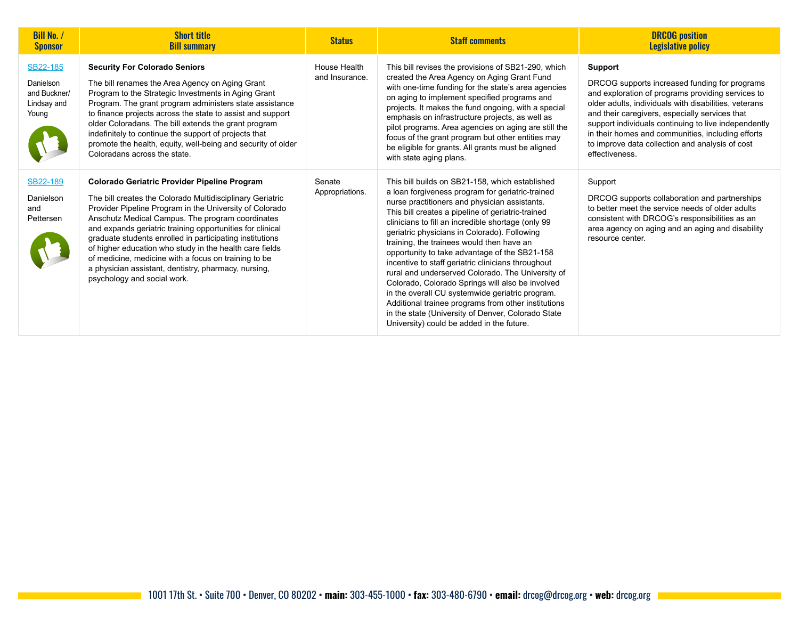| <b>Bill No. /</b><br><b>Sponsor</b>                           | <b>Short title</b><br><b>Bill summary</b>                                                                                                                                                                                                                                                                                                                                                                                                                                                                                                                          | <b>Status</b>                  | <b>Staff comments</b>                                                                                                                                                                                                                                                                                                                                                                                                                                                                                                                                                                                                                                                                                                                                                                     | <b>DRCOG</b> position<br><b>Legislative policy</b>                                                                                                                                                                                                                                                                                                                                                         |
|---------------------------------------------------------------|--------------------------------------------------------------------------------------------------------------------------------------------------------------------------------------------------------------------------------------------------------------------------------------------------------------------------------------------------------------------------------------------------------------------------------------------------------------------------------------------------------------------------------------------------------------------|--------------------------------|-------------------------------------------------------------------------------------------------------------------------------------------------------------------------------------------------------------------------------------------------------------------------------------------------------------------------------------------------------------------------------------------------------------------------------------------------------------------------------------------------------------------------------------------------------------------------------------------------------------------------------------------------------------------------------------------------------------------------------------------------------------------------------------------|------------------------------------------------------------------------------------------------------------------------------------------------------------------------------------------------------------------------------------------------------------------------------------------------------------------------------------------------------------------------------------------------------------|
| SB22-185<br>Danielson<br>and Buckner/<br>Lindsay and<br>Young | <b>Security For Colorado Seniors</b><br>The bill renames the Area Agency on Aging Grant<br>Program to the Strategic Investments in Aging Grant<br>Program. The grant program administers state assistance<br>to finance projects across the state to assist and support<br>older Coloradans. The bill extends the grant program<br>indefinitely to continue the support of projects that<br>promote the health, equity, well-being and security of older<br>Coloradans across the state.                                                                           | House Health<br>and Insurance. | This bill revises the provisions of SB21-290, which<br>created the Area Agency on Aging Grant Fund<br>with one-time funding for the state's area agencies<br>on aging to implement specified programs and<br>projects. It makes the fund ongoing, with a special<br>emphasis on infrastructure projects, as well as<br>pilot programs. Area agencies on aging are still the<br>focus of the grant program but other entities may<br>be eligible for grants. All grants must be aligned<br>with state aging plans.                                                                                                                                                                                                                                                                         | Support<br>DRCOG supports increased funding for programs<br>and exploration of programs providing services to<br>older adults, individuals with disabilities, veterans<br>and their caregivers, especially services that<br>support individuals continuing to live independently<br>in their homes and communities, including efforts<br>to improve data collection and analysis of cost<br>effectiveness. |
| SB22-189<br>Danielson<br>and<br>Pettersen                     | <b>Colorado Geriatric Provider Pipeline Program</b><br>The bill creates the Colorado Multidisciplinary Geriatric<br>Provider Pipeline Program in the University of Colorado<br>Anschutz Medical Campus. The program coordinates<br>and expands geriatric training opportunities for clinical<br>graduate students enrolled in participating institutions<br>of higher education who study in the health care fields<br>of medicine, medicine with a focus on training to be<br>a physician assistant, dentistry, pharmacy, nursing,<br>psychology and social work. | Senate<br>Appropriations.      | This bill builds on SB21-158, which established<br>a loan forgiveness program for geriatric-trained<br>nurse practitioners and physician assistants.<br>This bill creates a pipeline of geriatric-trained<br>clinicians to fill an incredible shortage (only 99<br>geriatric physicians in Colorado). Following<br>training, the trainees would then have an<br>opportunity to take advantage of the SB21-158<br>incentive to staff geriatric clinicians throughout<br>rural and underserved Colorado. The University of<br>Colorado, Colorado Springs will also be involved<br>in the overall CU systemwide geriatric program.<br>Additional trainee programs from other institutions<br>in the state (University of Denver, Colorado State<br>University) could be added in the future. | Support<br>DRCOG supports collaboration and partnerships<br>to better meet the service needs of older adults<br>consistent with DRCOG's responsibilities as an<br>area agency on aging and an aging and disability<br>resource center.                                                                                                                                                                     |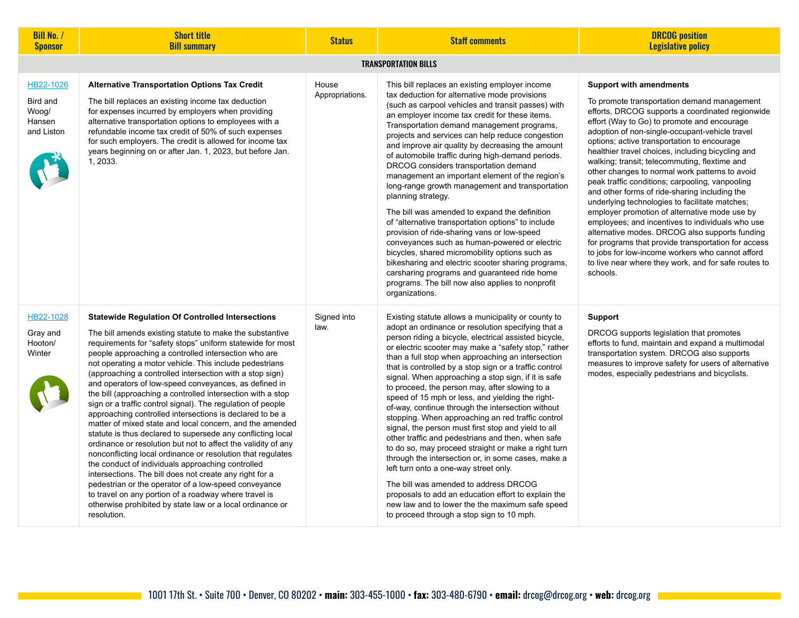| <b>Bill No. /</b><br><b>Sponsor</b>                    | <b>Short title</b><br><b>Bill summary</b>                                                                                                                                                                                                                                                                                                                                                                                                                                                                                                                                                                                                                                                                                                                                                                                                                                                                                                                                                                                                                                                                                                                                                   | <b>Status</b>            | <b>Staff comments</b>                                                                                                                                                                                                                                                                                                                                                                                                                                                                                                                                                                                                                                                                                                                                                                                                                                                                                                                                                                                                                                                              | <b>DRCOG</b> position<br><b>Legislative policy</b>                                                                                                                                                                                                                                                                                                                                                                                                                                                                                                                                                                                                                                                                                                                                                                                                                                                                                    |  |  |
|--------------------------------------------------------|---------------------------------------------------------------------------------------------------------------------------------------------------------------------------------------------------------------------------------------------------------------------------------------------------------------------------------------------------------------------------------------------------------------------------------------------------------------------------------------------------------------------------------------------------------------------------------------------------------------------------------------------------------------------------------------------------------------------------------------------------------------------------------------------------------------------------------------------------------------------------------------------------------------------------------------------------------------------------------------------------------------------------------------------------------------------------------------------------------------------------------------------------------------------------------------------|--------------------------|------------------------------------------------------------------------------------------------------------------------------------------------------------------------------------------------------------------------------------------------------------------------------------------------------------------------------------------------------------------------------------------------------------------------------------------------------------------------------------------------------------------------------------------------------------------------------------------------------------------------------------------------------------------------------------------------------------------------------------------------------------------------------------------------------------------------------------------------------------------------------------------------------------------------------------------------------------------------------------------------------------------------------------------------------------------------------------|---------------------------------------------------------------------------------------------------------------------------------------------------------------------------------------------------------------------------------------------------------------------------------------------------------------------------------------------------------------------------------------------------------------------------------------------------------------------------------------------------------------------------------------------------------------------------------------------------------------------------------------------------------------------------------------------------------------------------------------------------------------------------------------------------------------------------------------------------------------------------------------------------------------------------------------|--|--|
| <b>TRANSPORTATION BILLS</b>                            |                                                                                                                                                                                                                                                                                                                                                                                                                                                                                                                                                                                                                                                                                                                                                                                                                                                                                                                                                                                                                                                                                                                                                                                             |                          |                                                                                                                                                                                                                                                                                                                                                                                                                                                                                                                                                                                                                                                                                                                                                                                                                                                                                                                                                                                                                                                                                    |                                                                                                                                                                                                                                                                                                                                                                                                                                                                                                                                                                                                                                                                                                                                                                                                                                                                                                                                       |  |  |
| HB22-1026<br>Bird and<br>Woog/<br>Hansen<br>and Liston | <b>Alternative Transportation Options Tax Credit</b><br>The bill replaces an existing income tax deduction<br>for expenses incurred by employers when providing<br>alternative transportation options to employees with a<br>refundable income tax credit of 50% of such expenses<br>for such employers. The credit is allowed for income tax<br>years beginning on or after Jan. 1, 2023, but before Jan.<br>1, 2033.                                                                                                                                                                                                                                                                                                                                                                                                                                                                                                                                                                                                                                                                                                                                                                      | House<br>Appropriations. | This bill replaces an existing employer income<br>tax deduction for alternative mode provisions<br>(such as carpool vehicles and transit passes) with<br>an employer income tax credit for these items.<br>Transportation demand management programs,<br>projects and services can help reduce congestion<br>and improve air quality by decreasing the amount<br>of automobile traffic during high-demand periods.<br>DRCOG considers transportation demand<br>management an important element of the region's<br>long-range growth management and transportation<br>planning strategy.<br>The bill was amended to expand the definition<br>of "alternative transportation options" to include<br>provision of ride-sharing vans or low-speed<br>conveyances such as human-powered or electric<br>bicycles, shared micromobility options such as<br>bikesharing and electric scooter sharing programs,<br>carsharing programs and guaranteed ride home<br>programs. The bill now also applies to nonprofit<br>organizations.                                                       | <b>Support with amendments</b><br>To promote transportation demand management<br>efforts, DRCOG supports a coordinated regionwide<br>effort (Way to Go) to promote and encourage<br>adoption of non-single-occupant-vehicle travel<br>options; active transportation to encourage<br>healthier travel choices, including bicycling and<br>walking; transit; telecommuting, flextime and<br>other changes to normal work patterns to avoid<br>peak traffic conditions; carpooling, vanpooling<br>and other forms of ride-sharing including the<br>underlying technologies to facilitate matches;<br>employer promotion of alternative mode use by<br>employees; and incentives to individuals who use<br>alternative modes. DRCOG also supports funding<br>for programs that provide transportation for access<br>to jobs for low-income workers who cannot afford<br>to live near where they work, and for safe routes to<br>schools. |  |  |
| HB22-1028<br>Gray and<br>Hooton/<br>Winter             | <b>Statewide Regulation Of Controlled Intersections</b><br>The bill amends existing statute to make the substantive<br>requirements for "safety stops" uniform statewide for most<br>people approaching a controlled intersection who are<br>not operating a motor vehicle. This include pedestrians<br>(approaching a controlled intersection with a stop sign)<br>and operators of low-speed conveyances, as defined in<br>the bill (approaching a controlled intersection with a stop<br>sign or a traffic control signal). The regulation of people<br>approaching controlled intersections is declared to be a<br>matter of mixed state and local concern, and the amended<br>statute is thus declared to supersede any conflicting local<br>ordinance or resolution but not to affect the validity of any<br>nonconflicting local ordinance or resolution that regulates<br>the conduct of individuals approaching controlled<br>intersections. The bill does not create any right for a<br>pedestrian or the operator of a low-speed conveyance<br>to travel on any portion of a roadway where travel is<br>otherwise prohibited by state law or a local ordinance or<br>resolution. | Signed into<br>law.      | Existing statute allows a municipality or county to<br>adopt an ordinance or resolution specifying that a<br>person riding a bicycle, electrical assisted bicycle,<br>or electric scooter may make a "safety stop," rather<br>than a full stop when approaching an intersection<br>that is controlled by a stop sign or a traffic control<br>signal. When approaching a stop sign, if it is safe<br>to proceed, the person may, after slowing to a<br>speed of 15 mph or less, and yielding the right-<br>of-way, continue through the intersection without<br>stopping. When approaching an red traffic control<br>signal, the person must first stop and yield to all<br>other traffic and pedestrians and then, when safe<br>to do so, may proceed straight or make a right turn<br>through the intersection or, in some cases, make a<br>left turn onto a one-way street only.<br>The bill was amended to address DRCOG<br>proposals to add an education effort to explain the<br>new law and to lower the the maximum safe speed<br>to proceed through a stop sign to 10 mph. | <b>Support</b><br>DRCOG supports legislation that promotes<br>efforts to fund, maintain and expand a multimodal<br>transportation system. DRCOG also supports<br>measures to improve safety for users of alternative<br>modes, especially pedestrians and bicyclists.                                                                                                                                                                                                                                                                                                                                                                                                                                                                                                                                                                                                                                                                 |  |  |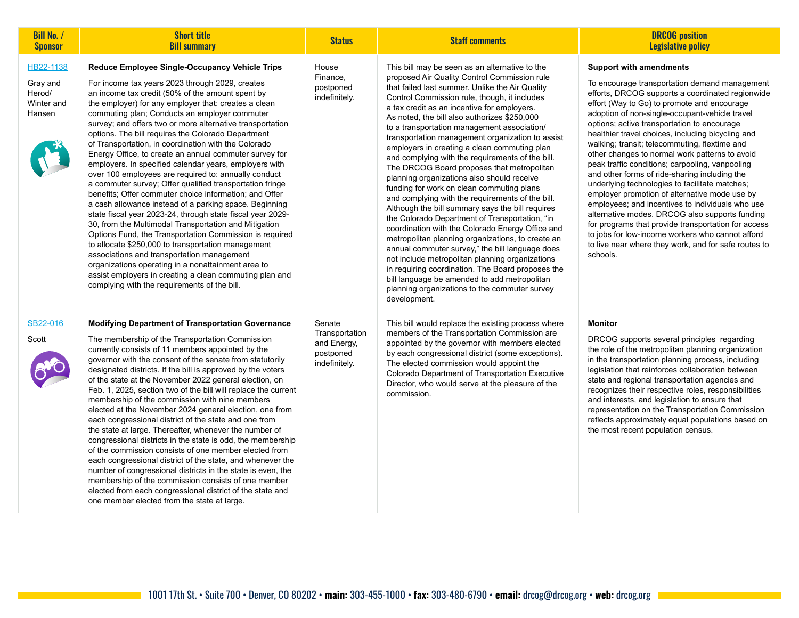| <b>Bill No. /</b><br><b>Sponsor</b>                     | <b>Short title</b><br><b>Bill summary</b>                                                                                                                                                                                                                                                                                                                                                                                                                                                                                                                                                                                                                                                                                                                                                                                                                                                                                                                                                                                                                                                                                                                                                                                                                    | <b>Status</b>                                                         | <b>Staff comments</b>                                                                                                                                                                                                                                                                                                                                                                                                                                                                                                                                                                                                                                                                                                                                                                                                                                                                                                                                                                                                                                                                                                                                                                           | <b>DRCOG</b> position<br><b>Legislative policy</b>                                                                                                                                                                                                                                                                                                                                                                                                                                                                                                                                                                                                                                                                                                                                                                                                                                                                                      |
|---------------------------------------------------------|--------------------------------------------------------------------------------------------------------------------------------------------------------------------------------------------------------------------------------------------------------------------------------------------------------------------------------------------------------------------------------------------------------------------------------------------------------------------------------------------------------------------------------------------------------------------------------------------------------------------------------------------------------------------------------------------------------------------------------------------------------------------------------------------------------------------------------------------------------------------------------------------------------------------------------------------------------------------------------------------------------------------------------------------------------------------------------------------------------------------------------------------------------------------------------------------------------------------------------------------------------------|-----------------------------------------------------------------------|-------------------------------------------------------------------------------------------------------------------------------------------------------------------------------------------------------------------------------------------------------------------------------------------------------------------------------------------------------------------------------------------------------------------------------------------------------------------------------------------------------------------------------------------------------------------------------------------------------------------------------------------------------------------------------------------------------------------------------------------------------------------------------------------------------------------------------------------------------------------------------------------------------------------------------------------------------------------------------------------------------------------------------------------------------------------------------------------------------------------------------------------------------------------------------------------------|-----------------------------------------------------------------------------------------------------------------------------------------------------------------------------------------------------------------------------------------------------------------------------------------------------------------------------------------------------------------------------------------------------------------------------------------------------------------------------------------------------------------------------------------------------------------------------------------------------------------------------------------------------------------------------------------------------------------------------------------------------------------------------------------------------------------------------------------------------------------------------------------------------------------------------------------|
| HB22-1138<br>Gray and<br>Herod/<br>Winter and<br>Hansen | Reduce Employee Single-Occupancy Vehicle Trips<br>For income tax years 2023 through 2029, creates<br>an income tax credit (50% of the amount spent by<br>the employer) for any employer that: creates a clean<br>commuting plan; Conducts an employer commuter<br>survey; and offers two or more alternative transportation<br>options. The bill requires the Colorado Department<br>of Transportation, in coordination with the Colorado<br>Energy Office, to create an annual commuter survey for<br>employers. In specified calendar years, employers with<br>over 100 employees are required to: annually conduct<br>a commuter survey; Offer qualified transportation fringe<br>benefits: Offer commuter choice information; and Offer<br>a cash allowance instead of a parking space. Beginning<br>state fiscal year 2023-24, through state fiscal year 2029-<br>30, from the Multimodal Transportation and Mitigation<br>Options Fund, the Transportation Commission is required<br>to allocate \$250,000 to transportation management<br>associations and transportation management<br>organizations operating in a nonattainment area to<br>assist employers in creating a clean commuting plan and<br>complying with the requirements of the bill. | House<br>Finance,<br>postponed<br>indefinitely.                       | This bill may be seen as an alternative to the<br>proposed Air Quality Control Commission rule<br>that failed last summer. Unlike the Air Quality<br>Control Commission rule, though, it includes<br>a tax credit as an incentive for employers.<br>As noted, the bill also authorizes \$250,000<br>to a transportation management association/<br>transportation management organization to assist<br>employers in creating a clean commuting plan<br>and complying with the requirements of the bill.<br>The DRCOG Board proposes that metropolitan<br>planning organizations also should receive<br>funding for work on clean commuting plans<br>and complying with the requirements of the bill.<br>Although the bill summary says the bill requires<br>the Colorado Department of Transportation, "in<br>coordination with the Colorado Energy Office and<br>metropolitan planning organizations, to create an<br>annual commuter survey," the bill language does<br>not include metropolitan planning organizations<br>in requiring coordination. The Board proposes the<br>bill language be amended to add metropolitan<br>planning organizations to the commuter survey<br>development. | <b>Support with amendments</b><br>To encourage transportation demand management<br>efforts, DRCOG supports a coordinated regionwide<br>effort (Way to Go) to promote and encourage<br>adoption of non-single-occupant-vehicle travel<br>options; active transportation to encourage<br>healthier travel choices, including bicycling and<br>walking; transit; telecommuting, flextime and<br>other changes to normal work patterns to avoid<br>peak traffic conditions; carpooling, vanpooling<br>and other forms of ride-sharing including the<br>underlying technologies to facilitate matches;<br>employer promotion of alternative mode use by<br>employees; and incentives to individuals who use<br>alternative modes. DRCOG also supports funding<br>for programs that provide transportation for access<br>to jobs for low-income workers who cannot afford<br>to live near where they work, and for safe routes to<br>schools. |
| SB22-016<br>Scott                                       | <b>Modifying Department of Transportation Governance</b><br>The membership of the Transportation Commission<br>currently consists of 11 members appointed by the<br>governor with the consent of the senate from statutorily<br>designated districts. If the bill is approved by the voters<br>of the state at the November 2022 general election, on<br>Feb. 1, 2025, section two of the bill will replace the current<br>membership of the commission with nine members<br>elected at the November 2024 general election, one from<br>each congressional district of the state and one from<br>the state at large. Thereafter, whenever the number of<br>congressional districts in the state is odd, the membership<br>of the commission consists of one member elected from<br>each congressional district of the state, and whenever the<br>number of congressional districts in the state is even, the<br>membership of the commission consists of one member<br>elected from each congressional district of the state and<br>one member elected from the state at large.                                                                                                                                                                              | Senate<br>Transportation<br>and Energy,<br>postponed<br>indefinitely. | This bill would replace the existing process where<br>members of the Transportation Commission are<br>appointed by the governor with members elected<br>by each congressional district (some exceptions).<br>The elected commission would appoint the<br>Colorado Department of Transportation Executive<br>Director, who would serve at the pleasure of the<br>commission.                                                                                                                                                                                                                                                                                                                                                                                                                                                                                                                                                                                                                                                                                                                                                                                                                     | <b>Monitor</b><br>DRCOG supports several principles regarding<br>the role of the metropolitan planning organization<br>in the transportation planning process, including<br>legislation that reinforces collaboration between<br>state and regional transportation agencies and<br>recognizes their respective roles, responsibilities<br>and interests, and legislation to ensure that<br>representation on the Transportation Commission<br>reflects approximately equal populations based on<br>the most recent population census.                                                                                                                                                                                                                                                                                                                                                                                                   |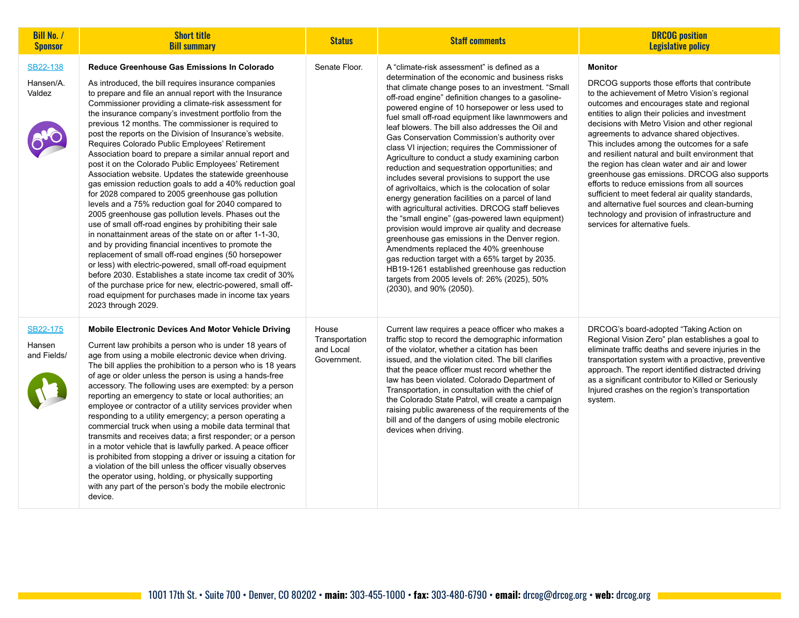| <b>Bill No. /</b><br><b>Sponsor</b> | <b>Short title</b><br><b>Bill summary</b>                                                                                                                                                                                                                                                                                                                                                                                                                                                                                                                                                                                                                                                                                                                                                                                                                                                                                                                                                                                                                                                                                                                                                                                                                                                                                                                                        | <b>Status</b>                                       | <b>Staff comments</b>                                                                                                                                                                                                                                                                                                                                                                                                                                                                                                                                                                                                                                                                                                                                                                                                                                                                                                                                                                                                                                                                                                                                                                 | <b>DRCOG</b> position<br><b>Legislative policy</b>                                                                                                                                                                                                                                                                                                                                                                                                                                                                                                                                                                                                                                                                                                             |
|-------------------------------------|----------------------------------------------------------------------------------------------------------------------------------------------------------------------------------------------------------------------------------------------------------------------------------------------------------------------------------------------------------------------------------------------------------------------------------------------------------------------------------------------------------------------------------------------------------------------------------------------------------------------------------------------------------------------------------------------------------------------------------------------------------------------------------------------------------------------------------------------------------------------------------------------------------------------------------------------------------------------------------------------------------------------------------------------------------------------------------------------------------------------------------------------------------------------------------------------------------------------------------------------------------------------------------------------------------------------------------------------------------------------------------|-----------------------------------------------------|---------------------------------------------------------------------------------------------------------------------------------------------------------------------------------------------------------------------------------------------------------------------------------------------------------------------------------------------------------------------------------------------------------------------------------------------------------------------------------------------------------------------------------------------------------------------------------------------------------------------------------------------------------------------------------------------------------------------------------------------------------------------------------------------------------------------------------------------------------------------------------------------------------------------------------------------------------------------------------------------------------------------------------------------------------------------------------------------------------------------------------------------------------------------------------------|----------------------------------------------------------------------------------------------------------------------------------------------------------------------------------------------------------------------------------------------------------------------------------------------------------------------------------------------------------------------------------------------------------------------------------------------------------------------------------------------------------------------------------------------------------------------------------------------------------------------------------------------------------------------------------------------------------------------------------------------------------------|
| SB22-138<br>Hansen/A.<br>Valdez     | Reduce Greenhouse Gas Emissions In Colorado<br>As introduced, the bill requires insurance companies<br>to prepare and file an annual report with the Insurance<br>Commissioner providing a climate-risk assessment for<br>the insurance company's investment portfolio from the<br>previous 12 months. The commissioner is required to<br>post the reports on the Division of Insurance's website.<br>Requires Colorado Public Employees' Retirement<br>Association board to prepare a similar annual report and<br>post it on the Colorado Public Employees' Retirement<br>Association website. Updates the statewide greenhouse<br>gas emission reduction goals to add a 40% reduction goal<br>for 2028 compared to 2005 greenhouse gas pollution<br>levels and a 75% reduction goal for 2040 compared to<br>2005 greenhouse gas pollution levels. Phases out the<br>use of small off-road engines by prohibiting their sale<br>in nonattainment areas of the state on or after 1-1-30,<br>and by providing financial incentives to promote the<br>replacement of small off-road engines (50 horsepower<br>or less) with electric-powered, small off-road equipment<br>before 2030. Establishes a state income tax credit of 30%<br>of the purchase price for new, electric-powered, small off-<br>road equipment for purchases made in income tax years<br>2023 through 2029. | Senate Floor.                                       | A "climate-risk assessment" is defined as a<br>determination of the economic and business risks<br>that climate change poses to an investment. "Small<br>off-road engine" definition changes to a gasoline-<br>powered engine of 10 horsepower or less used to<br>fuel small off-road equipment like lawnmowers and<br>leaf blowers. The bill also addresses the Oil and<br>Gas Conservation Commission's authority over<br>class VI injection; requires the Commissioner of<br>Agriculture to conduct a study examining carbon<br>reduction and sequestration opportunities; and<br>includes several provisions to support the use<br>of agrivoltaics, which is the colocation of solar<br>energy generation facilities on a parcel of land<br>with agricultural activities. DRCOG staff believes<br>the "small engine" (gas-powered lawn equipment)<br>provision would improve air quality and decrease<br>greenhouse gas emissions in the Denver region.<br>Amendments replaced the 40% greenhouse<br>gas reduction target with a 65% target by 2035.<br>HB19-1261 established greenhouse gas reduction<br>targets from 2005 levels of: 26% (2025), 50%<br>(2030), and 90% (2050). | <b>Monitor</b><br>DRCOG supports those efforts that contribute<br>to the achievement of Metro Vision's regional<br>outcomes and encourages state and regional<br>entities to align their policies and investment<br>decisions with Metro Vision and other regional<br>agreements to advance shared objectives.<br>This includes among the outcomes for a safe<br>and resilient natural and built environment that<br>the region has clean water and air and lower<br>greenhouse gas emissions. DRCOG also supports<br>efforts to reduce emissions from all sources<br>sufficient to meet federal air quality standards,<br>and alternative fuel sources and clean-burning<br>technology and provision of infrastructure and<br>services for alternative fuels. |
| SB22-175<br>Hansen<br>and Fields/   | <b>Mobile Electronic Devices And Motor Vehicle Driving</b><br>Current law prohibits a person who is under 18 years of<br>age from using a mobile electronic device when driving.<br>The bill applies the prohibition to a person who is 18 years<br>of age or older unless the person is using a hands-free<br>accessory. The following uses are exempted: by a person<br>reporting an emergency to state or local authorities; an<br>employee or contractor of a utility services provider when<br>responding to a utility emergency; a person operating a<br>commercial truck when using a mobile data terminal that<br>transmits and receives data; a first responder; or a person<br>in a motor vehicle that is lawfully parked. A peace officer<br>is prohibited from stopping a driver or issuing a citation for<br>a violation of the bill unless the officer visually observes<br>the operator using, holding, or physically supporting<br>with any part of the person's body the mobile electronic<br>device.                                                                                                                                                                                                                                                                                                                                                           | House<br>Transportation<br>and Local<br>Government. | Current law requires a peace officer who makes a<br>traffic stop to record the demographic information<br>of the violator, whether a citation has been<br>issued, and the violation cited. The bill clarifies<br>that the peace officer must record whether the<br>law has been violated. Colorado Department of<br>Transportation, in consultation with the chief of<br>the Colorado State Patrol, will create a campaign<br>raising public awareness of the requirements of the<br>bill and of the dangers of using mobile electronic<br>devices when driving.                                                                                                                                                                                                                                                                                                                                                                                                                                                                                                                                                                                                                      | DRCOG's board-adopted "Taking Action on<br>Regional Vision Zero" plan establishes a goal to<br>eliminate traffic deaths and severe injuries in the<br>transportation system with a proactive, preventive<br>approach. The report identified distracted driving<br>as a significant contributor to Killed or Seriously<br>Injured crashes on the region's transportation<br>system.                                                                                                                                                                                                                                                                                                                                                                             |

the control of the control of the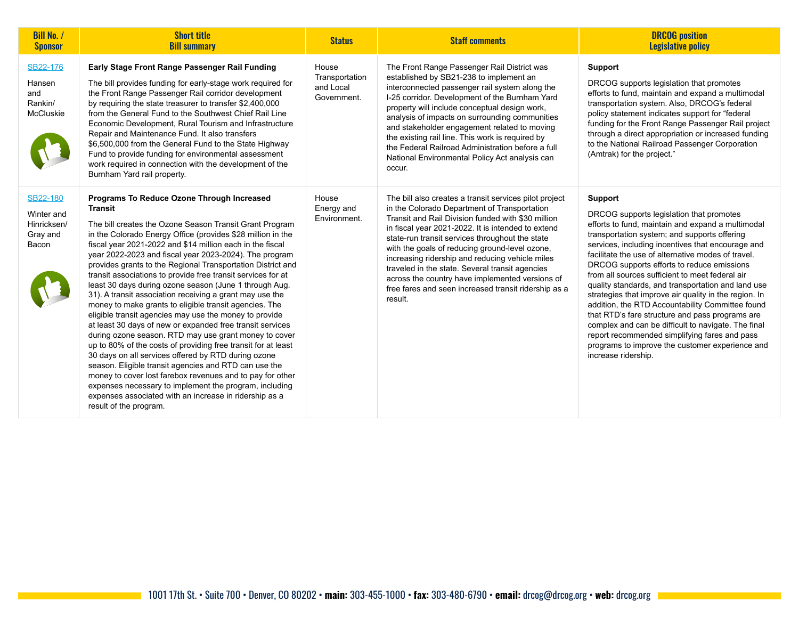| <b>Bill No. /</b><br><b>Sponsor</b>                               | <b>Short title</b><br><b>Bill summary</b>                                                                                                                                                                                                                                                                                                                                                                                                                                                                                                                                                                                                                                                                                                                                                                                                                                                                                                                                                                                                                                                                                                                                                                | <b>Status</b>                                       | <b>Staff comments</b>                                                                                                                                                                                                                                                                                                                                                                                                                                                                                                                               | <b>DRCOG</b> position<br><b>Legislative policy</b>                                                                                                                                                                                                                                                                                                                                                                                                                                                                                                                                                                                                                                                                                                                                  |
|-------------------------------------------------------------------|----------------------------------------------------------------------------------------------------------------------------------------------------------------------------------------------------------------------------------------------------------------------------------------------------------------------------------------------------------------------------------------------------------------------------------------------------------------------------------------------------------------------------------------------------------------------------------------------------------------------------------------------------------------------------------------------------------------------------------------------------------------------------------------------------------------------------------------------------------------------------------------------------------------------------------------------------------------------------------------------------------------------------------------------------------------------------------------------------------------------------------------------------------------------------------------------------------|-----------------------------------------------------|-----------------------------------------------------------------------------------------------------------------------------------------------------------------------------------------------------------------------------------------------------------------------------------------------------------------------------------------------------------------------------------------------------------------------------------------------------------------------------------------------------------------------------------------------------|-------------------------------------------------------------------------------------------------------------------------------------------------------------------------------------------------------------------------------------------------------------------------------------------------------------------------------------------------------------------------------------------------------------------------------------------------------------------------------------------------------------------------------------------------------------------------------------------------------------------------------------------------------------------------------------------------------------------------------------------------------------------------------------|
| SB22-176<br>Hansen<br>and<br>Rankin/<br><b>McCluskie</b>          | Early Stage Front Range Passenger Rail Funding<br>The bill provides funding for early-stage work required for<br>the Front Range Passenger Rail corridor development<br>by requiring the state treasurer to transfer \$2,400,000<br>from the General Fund to the Southwest Chief Rail Line<br>Economic Development, Rural Tourism and Infrastructure<br>Repair and Maintenance Fund. It also transfers<br>\$6,500,000 from the General Fund to the State Highway<br>Fund to provide funding for environmental assessment<br>work required in connection with the development of the<br>Burnham Yard rail property.                                                                                                                                                                                                                                                                                                                                                                                                                                                                                                                                                                                       | House<br>Transportation<br>and Local<br>Government. | The Front Range Passenger Rail District was<br>established by SB21-238 to implement an<br>interconnected passenger rail system along the<br>I-25 corridor. Development of the Burnham Yard<br>property will include conceptual design work,<br>analysis of impacts on surrounding communities<br>and stakeholder engagement related to moving<br>the existing rail line. This work is required by<br>the Federal Railroad Administration before a full<br>National Environmental Policy Act analysis can<br>occur.                                  | <b>Support</b><br>DRCOG supports legislation that promotes<br>efforts to fund, maintain and expand a multimodal<br>transportation system. Also, DRCOG's federal<br>policy statement indicates support for "federal<br>funding for the Front Range Passenger Rail project<br>through a direct appropriation or increased funding<br>to the National Railroad Passenger Corporation<br>(Amtrak) for the project."                                                                                                                                                                                                                                                                                                                                                                     |
| <b>SB22-180</b><br>Winter and<br>Hinricksen/<br>Gray and<br>Bacon | Programs To Reduce Ozone Through Increased<br><b>Transit</b><br>The bill creates the Ozone Season Transit Grant Program<br>in the Colorado Energy Office (provides \$28 million in the<br>fiscal year 2021-2022 and \$14 million each in the fiscal<br>year 2022-2023 and fiscal year 2023-2024). The program<br>provides grants to the Regional Transportation District and<br>transit associations to provide free transit services for at<br>least 30 days during ozone season (June 1 through Aug.<br>31). A transit association receiving a grant may use the<br>money to make grants to eligible transit agencies. The<br>eligible transit agencies may use the money to provide<br>at least 30 days of new or expanded free transit services<br>during ozone season. RTD may use grant money to cover<br>up to 80% of the costs of providing free transit for at least<br>30 days on all services offered by RTD during ozone<br>season. Eligible transit agencies and RTD can use the<br>money to cover lost farebox revenues and to pay for other<br>expenses necessary to implement the program, including<br>expenses associated with an increase in ridership as a<br>result of the program. | House<br>Energy and<br>Environment.                 | The bill also creates a transit services pilot project<br>in the Colorado Department of Transportation<br>Transit and Rail Division funded with \$30 million<br>in fiscal year 2021-2022. It is intended to extend<br>state-run transit services throughout the state<br>with the goals of reducing ground-level ozone,<br>increasing ridership and reducing vehicle miles<br>traveled in the state. Several transit agencies<br>across the country have implemented versions of<br>free fares and seen increased transit ridership as a<br>result. | <b>Support</b><br>DRCOG supports legislation that promotes<br>efforts to fund, maintain and expand a multimodal<br>transportation system; and supports offering<br>services, including incentives that encourage and<br>facilitate the use of alternative modes of travel.<br>DRCOG supports efforts to reduce emissions<br>from all sources sufficient to meet federal air<br>quality standards, and transportation and land use<br>strategies that improve air quality in the region. In<br>addition, the RTD Accountability Committee found<br>that RTD's fare structure and pass programs are<br>complex and can be difficult to navigate. The final<br>report recommended simplifying fares and pass<br>programs to improve the customer experience and<br>increase ridership. |

**Contract Contract**